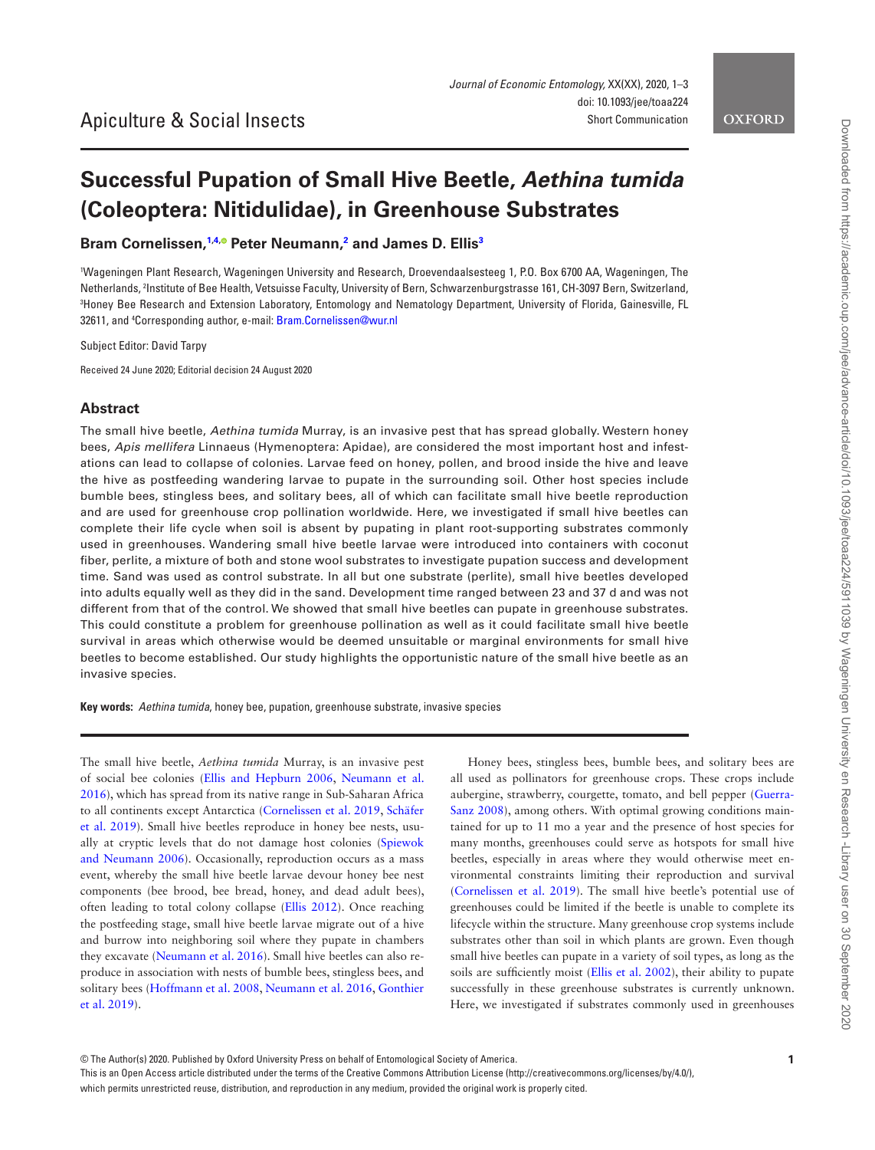# **Successful Pupation of Small Hive Beetle,** *Aethina tumida* **(Coleoptera: Nitidulidae), in Greenhouse Substrates**

**Bram Cornelissen, [1,](#page-0-0)[4](#page-0-1)[,](http://orcid.org/0000-0001-6610-0811) Peter Neumann, [2](#page-0-2) and James D. Ellis[3](#page-0-3)**

<span id="page-0-3"></span><span id="page-0-2"></span><span id="page-0-0"></span>1 Wageningen Plant Research, Wageningen University and Research, Droevendaalsesteeg 1, P.O. Box 6700 AA, Wageningen, The Netherlands, 2 Institute of Bee Health, Vetsuisse Faculty, University of Bern, Schwarzenburgstrasse 161, CH-3097 Bern, Switzerland, 3 Honey Bee Research and Extension Laboratory, Entomology and Nematology Department, University of Florida, Gainesville, FL 32611, and 4 Corresponding author, e-mail: [Bram.Cornelissen@wur.nl](mailto:Bram.Cornelissen@wur.nl?subject=)

<span id="page-0-1"></span>Subject Editor: David Tarpy

Received 24 June 2020; Editorial decision 24 August 2020

## **Abstract**

The small hive beetle, *Aethina tumida* Murray, is an invasive pest that has spread globally. Western honey bees, *Apis mellifera* Linnaeus (Hymenoptera: Apidae), are considered the most important host and infestations can lead to collapse of colonies. Larvae feed on honey, pollen, and brood inside the hive and leave the hive as postfeeding wandering larvae to pupate in the surrounding soil. Other host species include bumble bees, stingless bees, and solitary bees, all of which can facilitate small hive beetle reproduction and are used for greenhouse crop pollination worldwide. Here, we investigated if small hive beetles can complete their life cycle when soil is absent by pupating in plant root-supporting substrates commonly used in greenhouses. Wandering small hive beetle larvae were introduced into containers with coconut fiber, perlite, a mixture of both and stone wool substrates to investigate pupation success and development time. Sand was used as control substrate. In all but one substrate (perlite), small hive beetles developed into adults equally well as they did in the sand. Development time ranged between 23 and 37 d and was not different from that of the control. We showed that small hive beetles can pupate in greenhouse substrates. This could constitute a problem for greenhouse pollination as well as it could facilitate small hive beetle survival in areas which otherwise would be deemed unsuitable or marginal environments for small hive beetles to become established. Our study highlights the opportunistic nature of the small hive beetle as an invasive species.

**Key words:** *Aethina tumida*, honey bee, pupation, greenhouse substrate, invasive species

The small hive beetle, *Aethina tumida* Murray, is an invasive pest of social bee colonies ([Ellis and Hepburn 2006,](#page-2-0) [Neumann et al.](#page-2-1)  [2016](#page-2-1)), which has spread from its native range in Sub-Saharan Africa to all continents except Antarctica [\(Cornelissen et al. 2019,](#page-2-2) [Schäfer](#page-2-3)  [et al. 2019\)](#page-2-3). Small hive beetles reproduce in honey bee nests, usually at cryptic levels that do not damage host colonies [\(Spiewok](#page-2-4)  [and Neumann 2006](#page-2-4)). Occasionally, reproduction occurs as a mass event, whereby the small hive beetle larvae devour honey bee nest components (bee brood, bee bread, honey, and dead adult bees), often leading to total colony collapse ([Ellis 2012\)](#page-2-5). Once reaching the postfeeding stage, small hive beetle larvae migrate out of a hive and burrow into neighboring soil where they pupate in chambers they excavate [\(Neumann et al. 2016](#page-2-1)). Small hive beetles can also reproduce in association with nests of bumble bees, stingless bees, and solitary bees [\(Hoffmann et al. 2008,](#page-2-6) [Neumann et al. 2016](#page-2-1), [Gonthier](#page-2-7)  [et al. 2019](#page-2-7)).

Honey bees, stingless bees, bumble bees, and solitary bees are all used as pollinators for greenhouse crops. These crops include aubergine, strawberry, courgette, tomato, and bell pepper ([Guerra-](#page-2-8)[Sanz 2008](#page-2-8)), among others. With optimal growing conditions maintained for up to 11 mo a year and the presence of host species for many months, greenhouses could serve as hotspots for small hive beetles, especially in areas where they would otherwise meet environmental constraints limiting their reproduction and survival [\(Cornelissen et al. 2019](#page-2-2)). The small hive beetle's potential use of greenhouses could be limited if the beetle is unable to complete its lifecycle within the structure. Many greenhouse crop systems include substrates other than soil in which plants are grown. Even though small hive beetles can pupate in a variety of soil types, as long as the soils are sufficiently moist [\(Ellis et al. 2002\)](#page-2-9), their ability to pupate successfully in these greenhouse substrates is currently unknown. Here, we investigated if substrates commonly used in greenhouses

This is an Open Access article distributed under the terms of the Creative Commons Attribution License (http://creativecommons.org/licenses/by/4.0/), which permits unrestricted reuse, distribution, and reproduction in any medium, provided the original work is properly cited.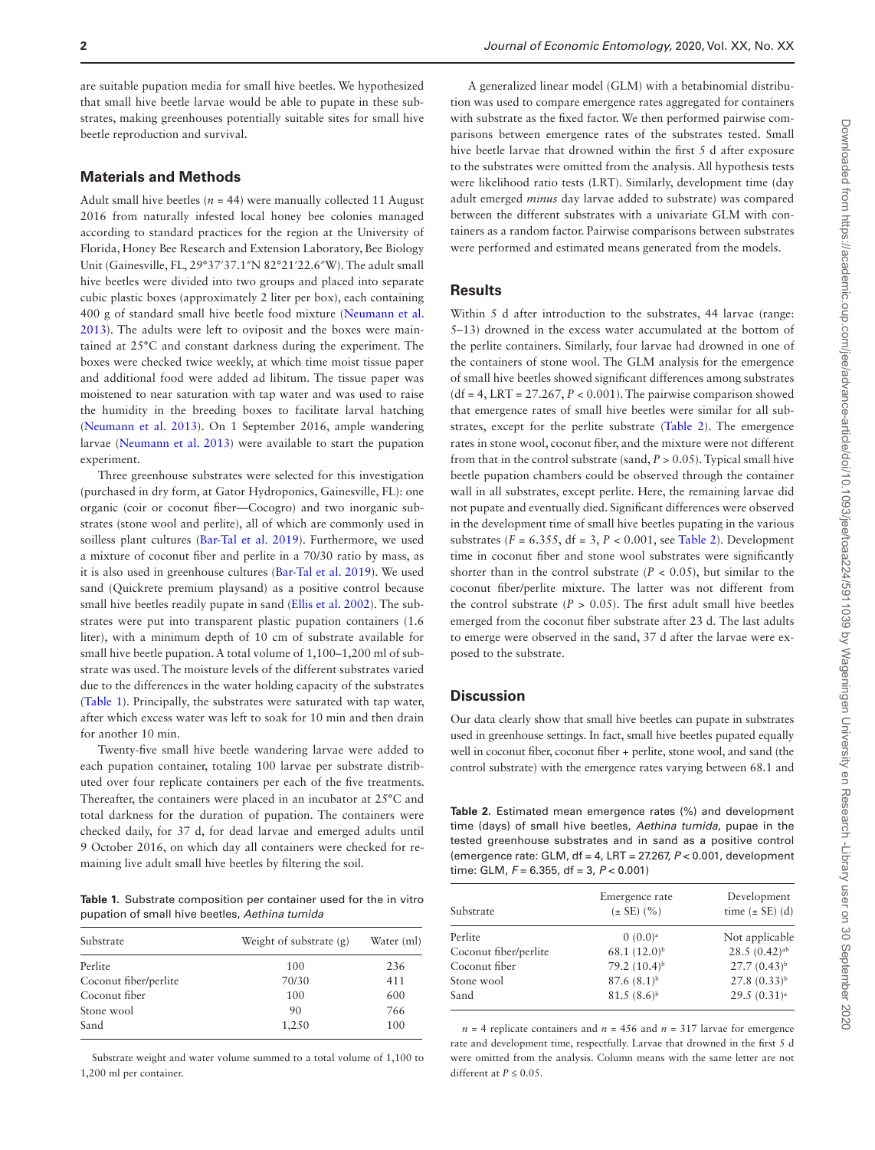are suitable pupation media for small hive beetles. We hypothesized that small hive beetle larvae would be able to pupate in these substrates, making greenhouses potentially suitable sites for small hive beetle reproduction and survival.

## **Materials and Methods**

Adult small hive beetles  $(n = 44)$  were manually collected 11 August 2016 from naturally infested local honey bee colonies managed according to standard practices for the region at the University of Florida, Honey Bee Research and Extension Laboratory, Bee Biology Unit (Gainesville, FL, 29°37′37.1″N 82°21′22.6″W). The adult small hive beetles were divided into two groups and placed into separate cubic plastic boxes (approximately 2 liter per box), each containing 400 g of standard small hive beetle food mixture [\(Neumann et al.](#page-2-10)  [2013](#page-2-10)). The adults were left to oviposit and the boxes were maintained at 25°C and constant darkness during the experiment. The boxes were checked twice weekly, at which time moist tissue paper and additional food were added ad libitum. The tissue paper was moistened to near saturation with tap water and was used to raise the humidity in the breeding boxes to facilitate larval hatching [\(Neumann et al. 2013](#page-2-10)). On 1 September 2016, ample wandering larvae [\(Neumann et al. 2013\)](#page-2-10) were available to start the pupation experiment.

Three greenhouse substrates were selected for this investigation (purchased in dry form, at Gator Hydroponics, Gainesville, FL): one organic (coir or coconut fiber—Cocogro) and two inorganic substrates (stone wool and perlite), all of which are commonly used in soilless plant cultures [\(Bar-Tal et al. 2019](#page-2-11)). Furthermore, we used a mixture of coconut fiber and perlite in a 70/30 ratio by mass, as it is also used in greenhouse cultures ([Bar-Tal et al. 2019\)](#page-2-11). We used sand (Quickrete premium playsand) as a positive control because small hive beetles readily pupate in sand [\(Ellis et al. 2002\)](#page-2-9). The substrates were put into transparent plastic pupation containers (1.6 liter), with a minimum depth of 10 cm of substrate available for small hive beetle pupation. A total volume of 1,100–1,200 ml of substrate was used. The moisture levels of the different substrates varied due to the differences in the water holding capacity of the substrates [\(Table 1](#page-1-0)). Principally, the substrates were saturated with tap water, after which excess water was left to soak for 10 min and then drain for another 10 min.

Twenty-five small hive beetle wandering larvae were added to each pupation container, totaling 100 larvae per substrate distributed over four replicate containers per each of the five treatments. Thereafter, the containers were placed in an incubator at 25°C and total darkness for the duration of pupation. The containers were checked daily, for 37 d, for dead larvae and emerged adults until 9 October 2016, on which day all containers were checked for remaining live adult small hive beetles by filtering the soil.

<span id="page-1-0"></span>**Table 1.** Substrate composition per container used for the in vitro pupation of small hive beetles, *Aethina tumida*

| Substrate             | Weight of substrate (g) | Water (ml)<br>236 |
|-----------------------|-------------------------|-------------------|
| Perlite               | 100                     |                   |
| Coconut fiber/perlite | 70/30                   | 411               |
| Coconut fiber         | 100                     | 600               |
| Stone wool            | 90                      | 766               |
| Sand                  | 1,250                   | 100               |

Substrate weight and water volume summed to a total volume of 1,100 to 1,200 ml per container.

A generalized linear model (GLM) with a betabinomial distribution was used to compare emergence rates aggregated for containers with substrate as the fixed factor. We then performed pairwise comparisons between emergence rates of the substrates tested. Small hive beetle larvae that drowned within the first 5 d after exposure to the substrates were omitted from the analysis. All hypothesis tests were likelihood ratio tests (LRT). Similarly, development time (day adult emerged *minus* day larvae added to substrate) was compared between the different substrates with a univariate GLM with containers as a random factor. Pairwise comparisons between substrates were performed and estimated means generated from the models.

#### **Results**

Within 5 d after introduction to the substrates, 44 larvae (range: 5–13) drowned in the excess water accumulated at the bottom of the perlite containers. Similarly, four larvae had drowned in one of the containers of stone wool. The GLM analysis for the emergence of small hive beetles showed significant differences among substrates  $(df = 4, LRT = 27.267, P < 0.001)$ . The pairwise comparison showed that emergence rates of small hive beetles were similar for all substrates, except for the perlite substrate [\(Table 2](#page-1-1)). The emergence rates in stone wool, coconut fiber, and the mixture were not different from that in the control substrate (sand, *P* > 0.05). Typical small hive beetle pupation chambers could be observed through the container wall in all substrates, except perlite. Here, the remaining larvae did not pupate and eventually died. Significant differences were observed in the development time of small hive beetles pupating in the various substrates  $(F = 6.355, df = 3, P < 0.001$ , see [Table 2\)](#page-1-1). Development time in coconut fiber and stone wool substrates were significantly shorter than in the control substrate  $(P < 0.05)$ , but similar to the coconut fiber/perlite mixture. The latter was not different from the control substrate  $(P > 0.05)$ . The first adult small hive beetles emerged from the coconut fiber substrate after 23 d. The last adults to emerge were observed in the sand, 37 d after the larvae were exposed to the substrate.

#### **Discussion**

Our data clearly show that small hive beetles can pupate in substrates used in greenhouse settings. In fact, small hive beetles pupated equally well in coconut fiber, coconut fiber + perlite, stone wool, and sand (the control substrate) with the emergence rates varying between 68.1 and

<span id="page-1-1"></span>**Table 2.** Estimated mean emergence rates (%) and development time (days) of small hive beetles, *Aethina tumida*, pupae in the tested greenhouse substrates and in sand as a positive control (emergence rate: GLM, df = 4, LRT = 27.267, *P* < 0.001, development time: GLM, *F* = 6.355, df = 3, *P* < 0.001)

| Substrate             | Emergence rate<br>$(\pm SE)$ (%) | Development<br>time $(\pm SE)$ (d) |
|-----------------------|----------------------------------|------------------------------------|
| Perlite               | $0(0.0)^a$                       | Not applicable                     |
| Coconut fiber/perlite | $68.1(12.0)^{b}$                 | $28.5(0.42)$ <sup>ab</sup>         |
| Coconut fiber         | 79.2 $(10.4)^{b}$                | $27.7(0.43)^{b}$                   |
| Stone wool            | $87.6(8.1)^{b}$                  | $27.8(0.33)^{b}$                   |
| Sand                  | $81.5(8.6)^{b}$                  | 29.5(0.31) <sup>a</sup>            |

 $n = 4$  replicate containers and  $n = 456$  and  $n = 317$  larvae for emergence rate and development time, respectfully. Larvae that drowned in the first 5 d were omitted from the analysis. Column means with the same letter are not different at  $P \leq 0.05$ .